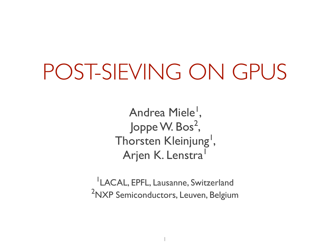#### POST-SIEVING ON GPUS

Andrea Miele<sup>l</sup>, Joppe W. Bos $^2$ , Thorsten Kleinjung<sup>1</sup>, Arjen K. Lenstra<sup>1</sup>

1 LACAL, EPFL, Lausanne, Switzerland <sup>2</sup>NXP Semiconductors, Leuven, Belgium

1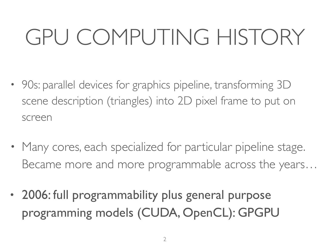# GPU COMPUTING HISTORY

- 90s: parallel devices for graphics pipeline, transforming 3D scene description (triangles) into 2D pixel frame to put on screen
- Many cores, each specialized for particular pipeline stage. Became more and more programmable across the years…
- 2006: full programmability plus general purpose programming models (CUDA, OpenCL): GPGPU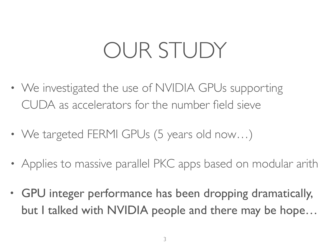# OUR STUDY

- We investigated the use of NVIDIA GPUs supporting CUDA as accelerators for the number field sieve
- We targeted FERMI GPUs (5 years old now...)
- Applies to massive parallel PKC apps based on modular arith
- GPU integer performance has been dropping dramatically, but I talked with NVIDIA people and there may be hope...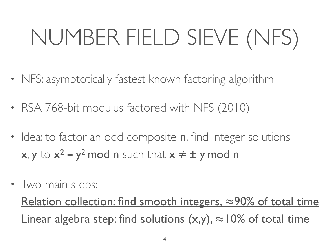# NUMBER FIELD SIEVE (NFS)

- NFS: asymptotically fastest known factoring algorithm
- RSA 768-bit modulus factored with NFS (2010)
- Idea: to factor an odd composite **n**, find integer solutions  $x, y$  to  $x^2 \equiv y^2 \mod n$  such that  $x \neq \pm y \mod n$
- Two main steps:

Relation collection: find smooth integers, ≈90% of total time Linear algebra step: find solutions  $(x,y)$ ,  $\approx$  10% of total time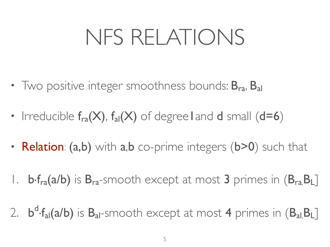### NFS RELATIONS

- Two positive integer smoothness bounds:  $B_{ra}$ ,  $B_{al}$
- Irreducible  $f_{ra}(X)$ ,  $f_{al}(X)$  of degreel and d small (d=6)
- Relation: (a,b) with a,b co-prime integers (b>0) such that
- I. **b**·f<sub>ra</sub>(a/b) is B<sub>ra</sub>-smooth except at most 3 primes in (B<sub>ra,</sub>B<sub>L</sub>]
- 2. **b<sup>d</sup>·f<sub>al</sub>(a/b)** is **B**<sub>al</sub>-smooth except at most 4 primes in (B<sub>al,</sub>B<sub>L</sub>]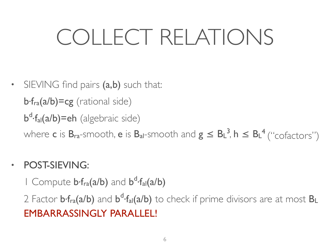# COLLECT RELATIONS

• SIEVING find pairs (a,b) such that: b·fra(a/b)=cg (rational side) b<sup>d</sup>·f<sub>al</sub>(a/b)=eh (algebraic side) where **c** is  $B_{ra}$ -smooth, **e** is  $B_{al}$ -smooth and  $g \leq B_{L}^{3}$ ,  $h \leq B_{L}^{4}$  ("cofactors")

#### • POST-SIEVING:

I Compute b·f<sub>ra</sub>(a/b) and b<sup>d</sup>·f<sub>al</sub>(a/b)

2 Factor  $bf_{ra}(a/b)$  and  $b^d$ · $f_{al}(a/b)$  to check if prime divisors are at most  $B_L$ EMBARRASSINGLY PARALLEL!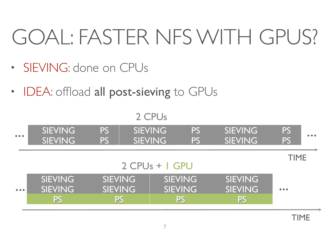## GOAL: FASTER NFS WITH GPUS?

- SIEVING: done on CPUs
- IDEA: offload all post-sieving to GPUs

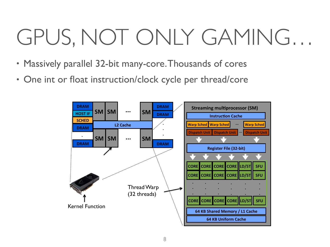# GPUS, NOT ONLY GAMING…

- Massively parallel 32-bit many-core. Thousands of cores
- One int or float instruction/clock cycle per thread/core

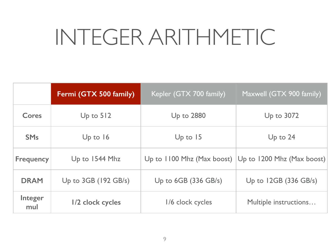## INTEGER ARITHMETIC

|                       | Fermi (GTX 500 family)    | Kepler (GTX 700 family)      | Maxwell (GTX 900 family)   |
|-----------------------|---------------------------|------------------------------|----------------------------|
| Cores                 | Up to $512$               | <b>Up to 2880</b>            | Up to 3072                 |
| <b>SM<sub>s</sub></b> | Up to $16$                | Up to $15$                   | Up to $24$                 |
| <b>Frequency</b>      | Up to 1544 Mhz            | Up to $1100$ Mhz (Max boost) | Up to 1200 Mhz (Max boost) |
| <b>DRAM</b>           | Up to $3GB$ (192 $GB/s$ ) | Up to $6GB$ (336 $GB/s$ )    | Up to $12GB$ (336 GB/s)    |
| Integer<br>mul        | 1/2 clock cycles          | 1/6 clock cycles             | Multiple instructions      |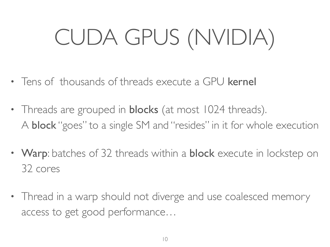# CUDA GPUS (NVIDIA)

- Tens of thousands of threads execute a GPU kernel
- Threads are grouped in **blocks** (at most 1024 threads). A block "goes" to a single SM and "resides" in it for whole execution
- Warp: batches of 32 threads within a **block** execute in lockstep on 32 cores
- Thread in a warp should not diverge and use coalesced memory access to get good performance…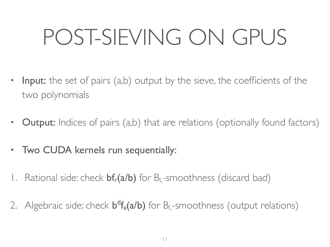# POST-SIEVING ON GPUS

- Input: the set of pairs (a,b) output by the sieve, the coefficients of the two polynomials
- **Output:** Indices of pairs (a,b) that are relations (optionally found factors)
- Two CUDA kernels run sequentially:
- Rational side: check  $bf_r(a/b)$  for B<sub>L</sub>-smoothness (discard bad)
- 2. Algebraic side: check  $b^df_a(a/b)$  for B<sub>L</sub>-smoothness (output relations)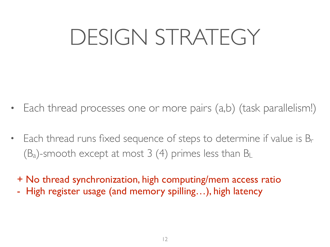## DESIGN STRATEGY

- Each thread processes one or more pairs (a,b) (task parallelism!)
- Each thread runs fixed sequence of steps to determine if value is  $B_r$  $(B_a)$ -smooth except at most 3 (4) primes less than  $B_L$ 
	- + No thread synchronization, high computing/mem access ratio
	- High register usage (and memory spilling...), high latency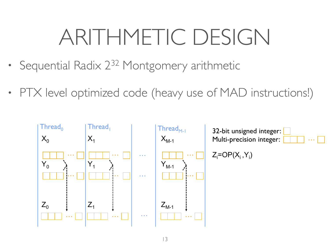# ARITHMETIC DESIGN

- Sequential Radix 2<sup>32</sup> Montgomery arithmetic
- PTX level optimized code (heavy use of MAD instructions!)

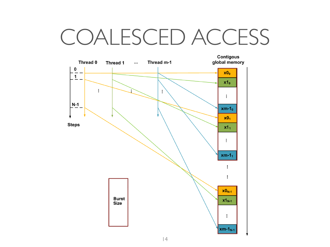#### COALESCED ACCESS

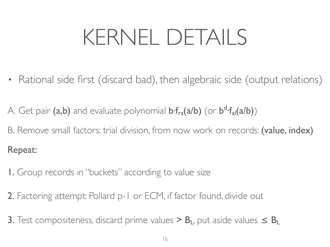# KERNEL DETAILS

• Rational side first (discard bad), then algebraic side (output relations)

A. Get pair (a,b) and evaluate polynomial b·f<sub>ra</sub>(a/b) (or b<sup>d</sup>·f<sub>al</sub>(a/b))

B. Remove small factors: trial division, from now work on records: (value, index) Repeat:

- 1. Group records in "buckets" according to value size
- 2. Factoring attempt: Pollard p-1 or ECM, if factor found, divide out
- 3. Test compositeness, discard prime values >  $B_L$ , put aside values  $\leq B_L$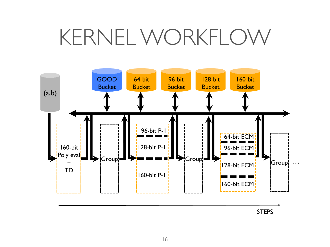#### KERNEL WORKFLOW



STEPS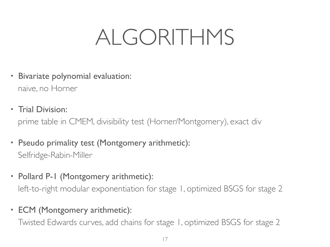#### ALGORITHMS

- Bivariate polynomial evaluation: naive, no Horner
- Trial Division:

prime table in CMEM, divisibility test (Horner/Montgomery), exact div

- Pseudo primality test (Montgomery arithmetic): Selfridge-Rabin-Miller
- Pollard P-1 (Montgomery arithmetic): left-to-right modular exponentiation for stage 1, optimized BSGS for stage 2
- ECM (Montgomery arithmetic):

Twisted Edwards curves, add chains for stage 1, optimized BSGS for stage 2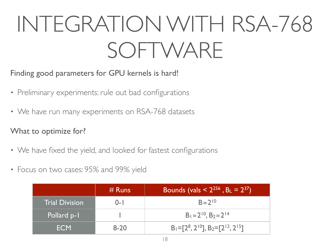# INTEGRATION WITH RSA-768 SOFTWARE

Finding good parameters for GPU kernels is hard!

- Preliminary experiments: rule out bad configurations
- We have run many experiments on RSA-768 datasets

What to optimize for?

- We have fixed the yield, and looked for fastest configurations
- Focus on two cases: 95% and 99% yield

|                                | $#$ Runs | Bounds (vals < $2^{256}$ , B <sub>L</sub> = $2^{37}$ ) |
|--------------------------------|----------|--------------------------------------------------------|
| <b>Trial Division</b><br>$O-I$ |          | $B \approx 2^{10}$                                     |
| Pollard p-1                    |          | $B_1 \approx 2^{10}$ , $B_2 \approx 2^{14}$            |
| <b>ECM</b>                     | $8 - 20$ | $B_1 = [2^8, 2^{10}], B_2 = [2^{12}, 2^{15}]$          |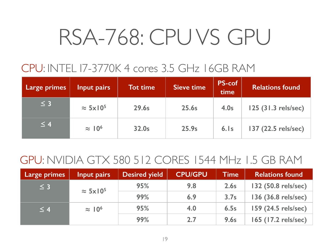### RSA-768: CPU VS GPU

#### CPU: INTEL I7-3770K 4 cores 3.5 GHz 16GB RAM

| <b>Large primes</b> | Input pairs                 | <b>Tot time</b> | <b>Sieve time</b> | <b>PS-cof</b><br>time | Relations found     |
|---------------------|-----------------------------|-----------------|-------------------|-----------------------|---------------------|
| $\leq$ 3            | $\approx$ 5x10 <sup>5</sup> | 29.6s           | 25.6s             | 4.0s                  | 125 (31.3 rels/sec) |
| $\leq 4$            | $\approx 10^6$              | 32.0s           | 25.9s             | $6.$ Is               | 137 (22.5 rels/sec) |

#### GPU: NVIDIA GTX 580 512 CORES 1544 MHz 1.5 GB RAM

| <b>Large primes</b> | Input pairs                 | <b>Desired yield</b> | <b>CPU/GPU</b> | <b>Time</b> | <b>Relations found</b> |
|---------------------|-----------------------------|----------------------|----------------|-------------|------------------------|
| $\leq$ 3            | $\approx$ 5x10 <sup>5</sup> | 95%                  | 9.8            | 2.6s        | 132 (50.8 rels/sec)    |
|                     |                             | 99%                  | 6.9            | 3.7s        | 136 (36.8 rels/sec)    |
| $\leq 4$            | $\approx 10^6$              | 95%                  | 4.0            | 6.5s        | 159 (24.5 rels/sec)    |
|                     |                             | 99%                  | 2.7            | 9.6s        | 165 (17.2 rels/sec)    |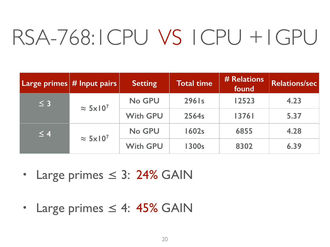#### RSA-768:1CPU VS 1CPU +1GPU

|          | $ $ Large primes $ $ # Input pairs $ $ | <b>Setting</b>  | <b>Total time</b> | # Relations<br>found | Relations/sec |
|----------|----------------------------------------|-----------------|-------------------|----------------------|---------------|
| $\leq$ 3 | $\approx$ 5x10 <sup>7</sup>            | No GPU          | 296 Is            | 12523                | 4.23          |
|          |                                        | <b>With GPU</b> | 2564s             | 13761                | 5.37          |
| $\leq 4$ | $\approx 5 \times 10^7$                | No GPU          | <b>1602s</b>      | 6855                 | 4.28          |
|          |                                        | <b>With GPU</b> | <b>1300s</b>      | 8302                 | 6.39          |

- Large primes ≤ 3: 24% GAIN
- Large primes  $\leq$  4: 45% GAIN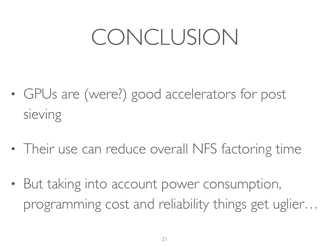#### CONCLUSION

- GPUs are (were?) good accelerators for post sieving
- Their use can reduce overall NFS factoring time
- But taking into account power consumption, programming cost and reliability things get uglier…